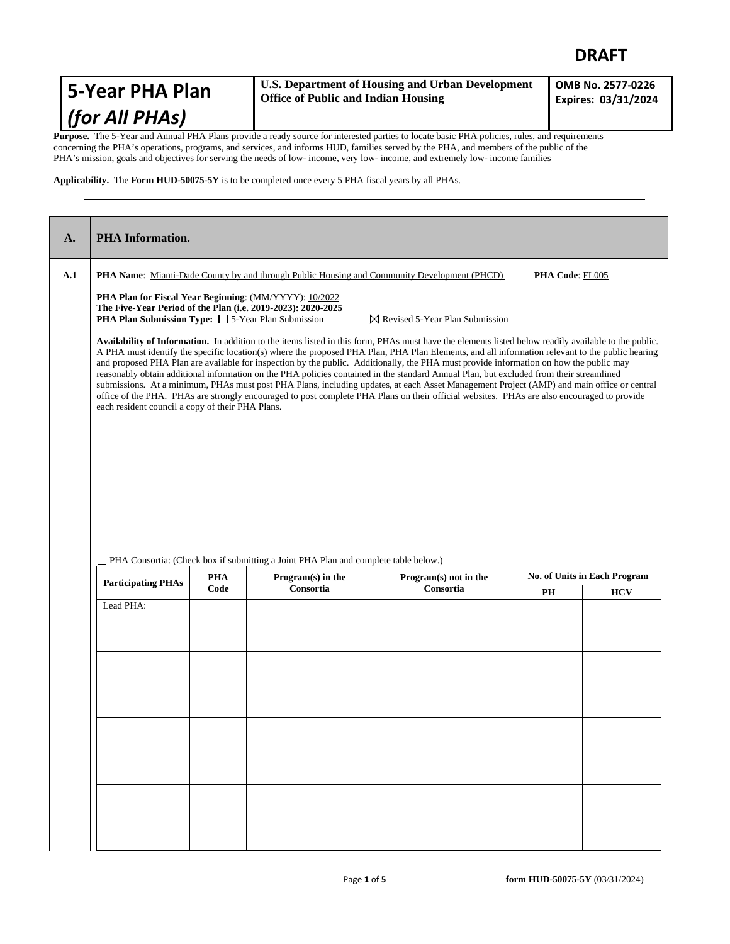## **DRAFT**

| 5-Year PHA Plan    | <b>U.S. Department of Housing and Urban Development</b><br><b>Office of Public and Indian Housing</b> | OMB No. 2577-0226<br>Expires: 03/31/2024 |
|--------------------|-------------------------------------------------------------------------------------------------------|------------------------------------------|
| $ $ (for All PHAs) |                                                                                                       |                                          |

**Purpose.** The 5-Year and Annual PHA Plans provide a ready source for interested parties to locate basic PHA policies, rules, and requirements concerning the PHA's operations, programs, and services, and informs HUD, families served by the PHA, and members of the public of the PHA's mission, goals and objectives for serving the needs of low- income, very low- income, and extremely low- income families

**Applicability.** The **Form HUD-50075-5Y** is to be completed once every 5 PHA fiscal years by all PHAs.

| A.                                                                                                                                                                                                                                                                                                                                                                                                                                                                                                                                                                                                                                                                                                                                                                                                                                                                                                                                          | <b>PHA</b> Information.                                                                                                                                                                                                    |            |                                                                                     |                                                                                                                          |    |                                     |  |
|---------------------------------------------------------------------------------------------------------------------------------------------------------------------------------------------------------------------------------------------------------------------------------------------------------------------------------------------------------------------------------------------------------------------------------------------------------------------------------------------------------------------------------------------------------------------------------------------------------------------------------------------------------------------------------------------------------------------------------------------------------------------------------------------------------------------------------------------------------------------------------------------------------------------------------------------|----------------------------------------------------------------------------------------------------------------------------------------------------------------------------------------------------------------------------|------------|-------------------------------------------------------------------------------------|--------------------------------------------------------------------------------------------------------------------------|----|-------------------------------------|--|
| A.1                                                                                                                                                                                                                                                                                                                                                                                                                                                                                                                                                                                                                                                                                                                                                                                                                                                                                                                                         |                                                                                                                                                                                                                            |            |                                                                                     | <b>PHA Name:</b> Miami-Dade County by and through Public Housing and Community Development (PHCD) <b>PHA Code:</b> FL005 |    |                                     |  |
|                                                                                                                                                                                                                                                                                                                                                                                                                                                                                                                                                                                                                                                                                                                                                                                                                                                                                                                                             | PHA Plan for Fiscal Year Beginning: (MM/YYYY): 10/2022<br>The Five-Year Period of the Plan (i.e. 2019-2023): 2020-2025<br>PHA Plan Submission Type: □ 5-Year Plan Submission<br>$\boxtimes$ Revised 5-Year Plan Submission |            |                                                                                     |                                                                                                                          |    |                                     |  |
| Availability of Information. In addition to the items listed in this form, PHAs must have the elements listed below readily available to the public.<br>A PHA must identify the specific location(s) where the proposed PHA Plan, PHA Plan Elements, and all information relevant to the public hearing<br>and proposed PHA Plan are available for inspection by the public. Additionally, the PHA must provide information on how the public may<br>reasonably obtain additional information on the PHA policies contained in the standard Annual Plan, but excluded from their streamlined<br>submissions. At a minimum, PHAs must post PHA Plans, including updates, at each Asset Management Project (AMP) and main office or central<br>office of the PHA. PHAs are strongly encouraged to post complete PHA Plans on their official websites. PHAs are also encouraged to provide<br>each resident council a copy of their PHA Plans. |                                                                                                                                                                                                                            |            |                                                                                     |                                                                                                                          |    |                                     |  |
|                                                                                                                                                                                                                                                                                                                                                                                                                                                                                                                                                                                                                                                                                                                                                                                                                                                                                                                                             |                                                                                                                                                                                                                            |            |                                                                                     |                                                                                                                          |    |                                     |  |
|                                                                                                                                                                                                                                                                                                                                                                                                                                                                                                                                                                                                                                                                                                                                                                                                                                                                                                                                             |                                                                                                                                                                                                                            |            | PHA Consortia: (Check box if submitting a Joint PHA Plan and complete table below.) |                                                                                                                          |    |                                     |  |
|                                                                                                                                                                                                                                                                                                                                                                                                                                                                                                                                                                                                                                                                                                                                                                                                                                                                                                                                             | <b>Participating PHAs</b>                                                                                                                                                                                                  | <b>PHA</b> | Program(s) in the                                                                   | Program(s) not in the                                                                                                    |    | <b>No. of Units in Each Program</b> |  |
|                                                                                                                                                                                                                                                                                                                                                                                                                                                                                                                                                                                                                                                                                                                                                                                                                                                                                                                                             | Lead PHA:                                                                                                                                                                                                                  | Code       | Consortia                                                                           | Consortia                                                                                                                | PH | <b>HCV</b>                          |  |
|                                                                                                                                                                                                                                                                                                                                                                                                                                                                                                                                                                                                                                                                                                                                                                                                                                                                                                                                             |                                                                                                                                                                                                                            |            |                                                                                     |                                                                                                                          |    |                                     |  |
|                                                                                                                                                                                                                                                                                                                                                                                                                                                                                                                                                                                                                                                                                                                                                                                                                                                                                                                                             |                                                                                                                                                                                                                            |            |                                                                                     |                                                                                                                          |    |                                     |  |
|                                                                                                                                                                                                                                                                                                                                                                                                                                                                                                                                                                                                                                                                                                                                                                                                                                                                                                                                             |                                                                                                                                                                                                                            |            |                                                                                     |                                                                                                                          |    |                                     |  |
|                                                                                                                                                                                                                                                                                                                                                                                                                                                                                                                                                                                                                                                                                                                                                                                                                                                                                                                                             |                                                                                                                                                                                                                            |            |                                                                                     |                                                                                                                          |    |                                     |  |
|                                                                                                                                                                                                                                                                                                                                                                                                                                                                                                                                                                                                                                                                                                                                                                                                                                                                                                                                             |                                                                                                                                                                                                                            |            |                                                                                     |                                                                                                                          |    |                                     |  |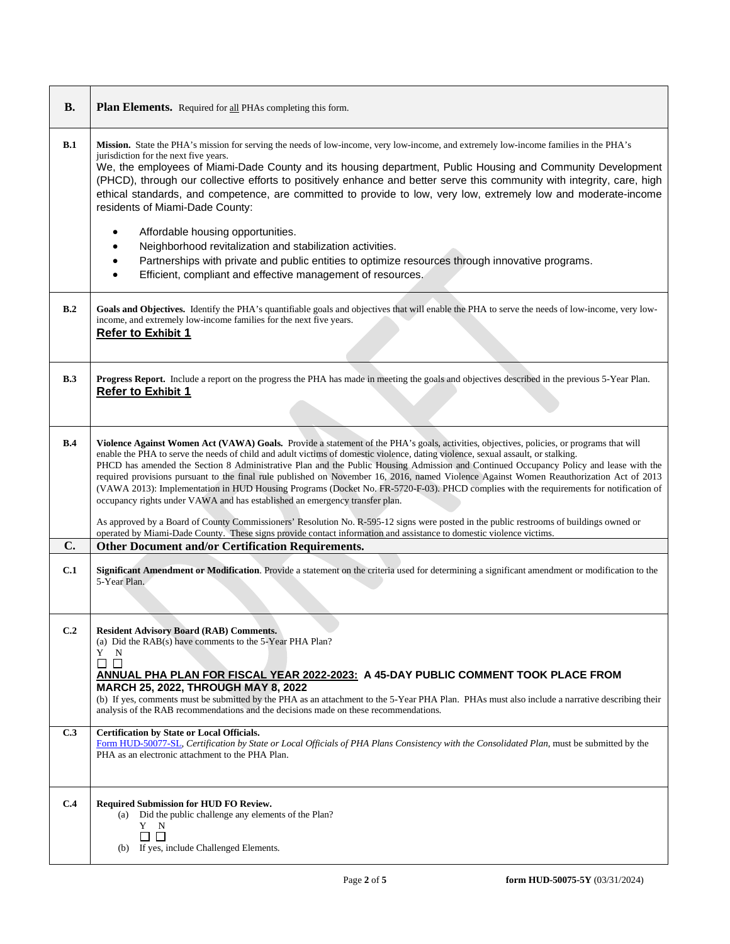| <b>B.</b>    | Plan Elements. Required for all PHAs completing this form.                                                                                                                                                                                                                                                                                                                                                                                                                                                                                                                                                                                                                                                                                                                                                                                                                                                                           |
|--------------|--------------------------------------------------------------------------------------------------------------------------------------------------------------------------------------------------------------------------------------------------------------------------------------------------------------------------------------------------------------------------------------------------------------------------------------------------------------------------------------------------------------------------------------------------------------------------------------------------------------------------------------------------------------------------------------------------------------------------------------------------------------------------------------------------------------------------------------------------------------------------------------------------------------------------------------|
| B.1          | Mission. State the PHA's mission for serving the needs of low-income, very low-income, and extremely low-income families in the PHA's<br>jurisdiction for the next five years.<br>We, the employees of Miami-Dade County and its housing department, Public Housing and Community Development<br>(PHCD), through our collective efforts to positively enhance and better serve this community with integrity, care, high<br>ethical standards, and competence, are committed to provide to low, very low, extremely low and moderate-income<br>residents of Miami-Dade County:<br>Affordable housing opportunities.<br>Neighborhood revitalization and stabilization activities.<br>$\bullet$<br>Partnerships with private and public entities to optimize resources through innovative programs.<br>$\bullet$<br>Efficient, compliant and effective management of resources.<br>$\bullet$                                           |
| B.2          | Goals and Objectives. Identify the PHA's quantifiable goals and objectives that will enable the PHA to serve the needs of low-income, very low-<br>income, and extremely low-income families for the next five years.<br><b>Refer to Exhibit 1</b>                                                                                                                                                                                                                                                                                                                                                                                                                                                                                                                                                                                                                                                                                   |
| B.3          | Progress Report. Include a report on the progress the PHA has made in meeting the goals and objectives described in the previous 5-Year Plan.<br><b>Refer to Exhibit 1</b>                                                                                                                                                                                                                                                                                                                                                                                                                                                                                                                                                                                                                                                                                                                                                           |
| B.4          | Violence Against Women Act (VAWA) Goals. Provide a statement of the PHA's goals, activities, objectives, policies, or programs that will<br>enable the PHA to serve the needs of child and adult victims of domestic violence, dating violence, sexual assault, or stalking.<br>PHCD has amended the Section 8 Administrative Plan and the Public Housing Admission and Continued Occupancy Policy and lease with the<br>required provisions pursuant to the final rule published on November 16, 2016, named Violence Against Women Reauthorization Act of 2013<br>(VAWA 2013): Implementation in HUD Housing Programs (Docket No. FR-5720-F-03). PHCD complies with the requirements for notification of<br>occupancy rights under VAWA and has established an emergency transfer plan.<br>As approved by a Board of County Commissioners' Resolution No. R-595-12 signs were posted in the public restrooms of buildings owned or |
| $\mathbf{C}$ | operated by Miami-Dade County. These signs provide contact information and assistance to domestic violence victims.<br>Other Document and/or Certification Requirements.                                                                                                                                                                                                                                                                                                                                                                                                                                                                                                                                                                                                                                                                                                                                                             |
| C.1          | Significant Amendment or Modification. Provide a statement on the criteria used for determining a significant amendment or modification to the<br>5-Year Plan.                                                                                                                                                                                                                                                                                                                                                                                                                                                                                                                                                                                                                                                                                                                                                                       |
| C.2          | <b>Resident Advisory Board (RAB) Comments.</b><br>(a) Did the RAB(s) have comments to the 5-Year PHA Plan?<br>Y N<br>$\Box$ $\Box$<br>ANNUAL PHA PLAN FOR FISCAL YEAR 2022-2023: A 45-DAY PUBLIC COMMENT TOOK PLACE FROM<br>MARCH 25, 2022, THROUGH MAY 8, 2022<br>(b) If yes, comments must be submitted by the PHA as an attachment to the 5-Year PHA Plan. PHAs must also include a narrative describing their<br>analysis of the RAB recommendations and the decisions made on these recommendations.                                                                                                                                                                                                                                                                                                                                                                                                                            |
| C.3          | Certification by State or Local Officials.<br>Form HUD-50077-SL, Certification by State or Local Officials of PHA Plans Consistency with the Consolidated Plan, must be submitted by the<br>PHA as an electronic attachment to the PHA Plan.                                                                                                                                                                                                                                                                                                                                                                                                                                                                                                                                                                                                                                                                                         |
| C.4          | Required Submission for HUD FO Review.<br>Did the public challenge any elements of the Plan?<br>(a)<br>Y N<br>$\Box$<br>П<br>(b) If yes, include Challenged Elements.                                                                                                                                                                                                                                                                                                                                                                                                                                                                                                                                                                                                                                                                                                                                                                |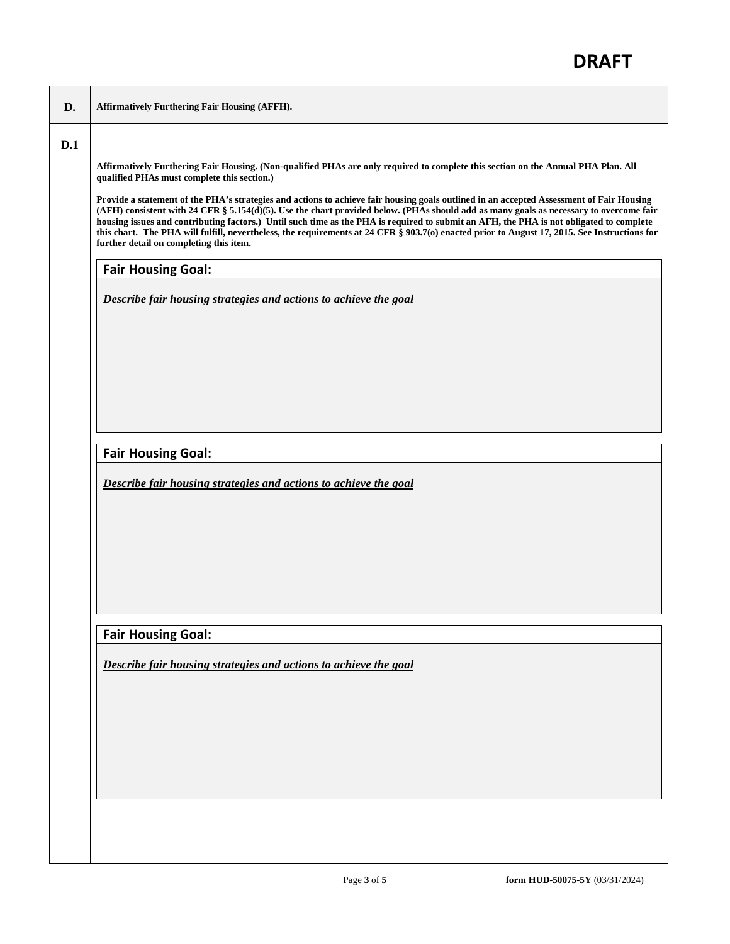| D.  | <b>Affirmatively Furthering Fair Housing (AFFH).</b>                                                                                                                                                                                                                                                                                                                                                                                                                                                                                                                                                                     |  |  |  |
|-----|--------------------------------------------------------------------------------------------------------------------------------------------------------------------------------------------------------------------------------------------------------------------------------------------------------------------------------------------------------------------------------------------------------------------------------------------------------------------------------------------------------------------------------------------------------------------------------------------------------------------------|--|--|--|
| D.1 |                                                                                                                                                                                                                                                                                                                                                                                                                                                                                                                                                                                                                          |  |  |  |
|     | Affirmatively Furthering Fair Housing. (Non-qualified PHAs are only required to complete this section on the Annual PHA Plan. All<br>qualified PHAs must complete this section.)                                                                                                                                                                                                                                                                                                                                                                                                                                         |  |  |  |
|     | Provide a statement of the PHA's strategies and actions to achieve fair housing goals outlined in an accepted Assessment of Fair Housing<br>(AFH) consistent with 24 CFR § 5.154(d)(5). Use the chart provided below. (PHAs should add as many goals as necessary to overcome fair<br>housing issues and contributing factors.) Until such time as the PHA is required to submit an AFH, the PHA is not obligated to complete<br>this chart. The PHA will fulfill, nevertheless, the requirements at 24 CFR § 903.7(o) enacted prior to August 17, 2015. See Instructions for<br>further detail on completing this item. |  |  |  |
|     | <b>Fair Housing Goal:</b>                                                                                                                                                                                                                                                                                                                                                                                                                                                                                                                                                                                                |  |  |  |
|     | Describe fair housing strategies and actions to achieve the goal                                                                                                                                                                                                                                                                                                                                                                                                                                                                                                                                                         |  |  |  |
|     |                                                                                                                                                                                                                                                                                                                                                                                                                                                                                                                                                                                                                          |  |  |  |
|     |                                                                                                                                                                                                                                                                                                                                                                                                                                                                                                                                                                                                                          |  |  |  |
|     | <b>Fair Housing Goal:</b>                                                                                                                                                                                                                                                                                                                                                                                                                                                                                                                                                                                                |  |  |  |
|     | Describe fair housing strategies and actions to achieve the goal                                                                                                                                                                                                                                                                                                                                                                                                                                                                                                                                                         |  |  |  |
|     |                                                                                                                                                                                                                                                                                                                                                                                                                                                                                                                                                                                                                          |  |  |  |
|     |                                                                                                                                                                                                                                                                                                                                                                                                                                                                                                                                                                                                                          |  |  |  |
|     | <b>Fair Housing Goal:</b>                                                                                                                                                                                                                                                                                                                                                                                                                                                                                                                                                                                                |  |  |  |
|     | Describe fair housing strategies and actions to achieve the goal                                                                                                                                                                                                                                                                                                                                                                                                                                                                                                                                                         |  |  |  |
|     |                                                                                                                                                                                                                                                                                                                                                                                                                                                                                                                                                                                                                          |  |  |  |
|     |                                                                                                                                                                                                                                                                                                                                                                                                                                                                                                                                                                                                                          |  |  |  |
|     |                                                                                                                                                                                                                                                                                                                                                                                                                                                                                                                                                                                                                          |  |  |  |
|     |                                                                                                                                                                                                                                                                                                                                                                                                                                                                                                                                                                                                                          |  |  |  |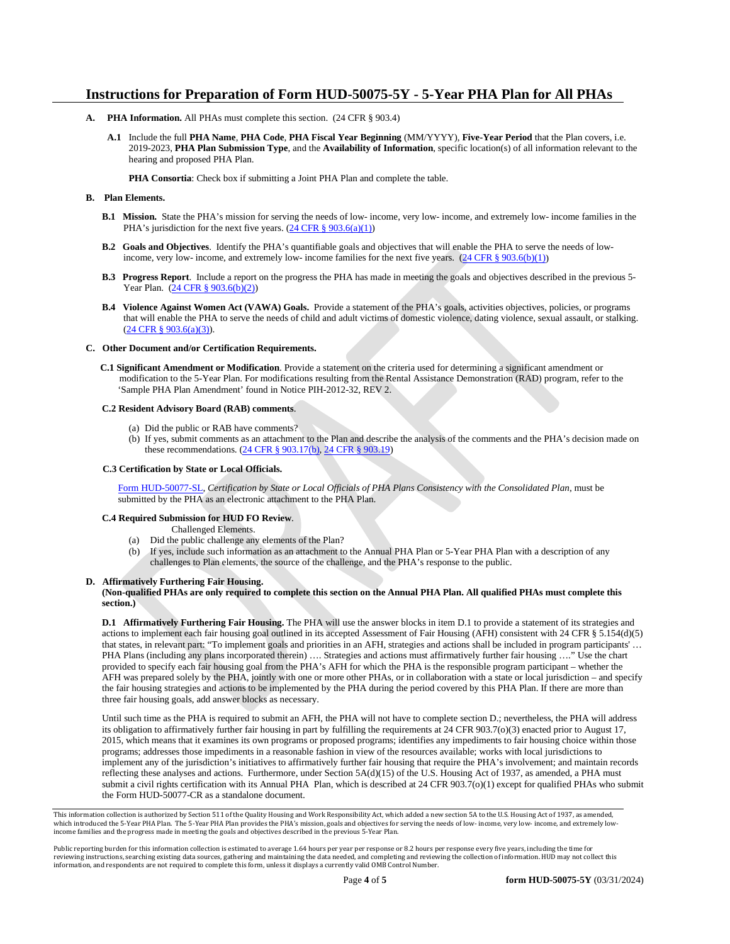#### **Instructions for Preparation of Form HUD-50075-5Y - 5-Year PHA Plan for All PHAs**

- **A. PHA Information.** All PHAs must complete this section. (24 CFR § 903.4)
	- **A.1** Include the full **PHA Name**, **PHA Code**, **PHA Fiscal Year Beginning** (MM/YYYY), **Five-Year Period** that the Plan covers, i.e. 2019-2023, **PHA Plan Submission Type**, and the **Availability of Information**, specific location(s) of all information relevant to the hearing and proposed PHA Plan.

**PHA Consortia**: Check box if submitting a Joint PHA Plan and complete the table.

#### **B. Plan Elements.**

- **B.1 Mission.** State the PHA's mission for serving the needs of low- income, very low- income, and extremely low- income families in the PHA's jurisdiction for the next five years.  $(24 \text{ CFR } \text{\&} 903.6(a)(1))$
- **B.2 Goals and Objectives**. Identify the PHA's quantifiable goals and objectives that will enable the PHA to serve the needs of lowincome, very low- income, and extremely low- income families for the next five years.  $(24 \text{ CFR} \frac{8}{9} 903.6(b)(1))$
- **B.3 Progress Report**. Include a report on the progress the PHA has made in meeting the goals and objectives described in the previous 5- Year Plan. [\(24 CFR § 903.6\(b\)\(2\)\)](http://ecfr.gpoaccess.gov/cgi/t/text/text-idx?c=ecfr&sid=13734845220744370804c20da2294a03&rgn=div5&view=text&node=24:4.0.3.1.3&idno=24#24:4.0.3.1.3.2.5.4)
- **B.4 Violence Against Women Act (VAWA) Goals.** Provide a statement of the PHA's goals, activities objectives, policies, or programs that will enable the PHA to serve the needs of child and adult victims of domestic violence, dating violence, sexual assault, or stalking.  $(24 \text{ CFR } \S$  903.6(a)(3)).

#### **C. Other Document and/or Certification Requirements.**

 **C.1 Significant Amendment or Modification**. Provide a statement on the criteria used for determining a significant amendment or modification to the 5-Year Plan. For modifications resulting from the Rental Assistance Demonstration (RAD) program, refer to the 'Sample PHA Plan Amendment' found in Notice PIH-2012-32, REV 2.

#### **C.2 Resident Advisory Board (RAB) comments**.

- (a) Did the public or RAB have comments?
- (b) If yes, submit comments as an attachment to the Plan and describe the analysis of the comments and the PHA's decision made on these recommendations. (24 CFR § 903.17(b), [24 CFR § 903.19\)](http://ecfr.gpoaccess.gov/cgi/t/text/text-idx?c=ecfr&sid=f41eb312b1425d2a95a2478fde61e11f&rgn=div5&view=text&node=24:4.0.3.1.3&idno=24#24:4.0.3.1.3.2.5.12)

#### **C.3 Certification by State or Local Officials.**

[Form HUD-50077-SL,](http://www.hud.gov/offices/adm/hudclips/forms/files/50077sl.doc) *Certification by State or Local Officials of PHA Plans Consistency with the Consolidated Plan*, must be submitted by the PHA as an electronic attachment to the PHA Plan.

#### **C.4 Required Submission for HUD FO Review**.

Challenged Elements.

- (a) Did the public challenge any elements of the Plan?
- (b) If yes, include such information as an attachment to the Annual PHA Plan or 5-Year PHA Plan with a description of any challenges to Plan elements, the source of the challenge, and the PHA's response to the public.

#### **D. Affirmatively Furthering Fair Housing.**

#### **(Non-qualified PHAs are only required to complete this section on the Annual PHA Plan. All qualified PHAs must complete this section.)**

**D.1 Affirmatively Furthering Fair Housing.** The PHA will use the answer blocks in item D.1 to provide a statement of its strategies and actions to implement each fair housing goal outlined in its accepted Assessment of Fair Housing (AFH) consistent with 24 CFR § 5.154(d)(5) that states, in relevant part: "To implement goals and priorities in an AFH, strategies and actions shall be included in program participants' … PHA Plans (including any plans incorporated therein) …. Strategies and actions must affirmatively further fair housing …." Use the chart provided to specify each fair housing goal from the PHA's AFH for which the PHA is the responsible program participant – whether the AFH was prepared solely by the PHA, jointly with one or more other PHAs, or in collaboration with a state or local jurisdiction – and specify the fair housing strategies and actions to be implemented by the PHA during the period covered by this PHA Plan. If there are more than three fair housing goals, add answer blocks as necessary.

Until such time as the PHA is required to submit an AFH, the PHA will not have to complete section D.; nevertheless, the PHA will address its obligation to affirmatively further fair housing in part by fulfilling the requirements at 24 CFR 903.7(o)(3) enacted prior to August 17, 2015, which means that it examines its own programs or proposed programs; identifies any impediments to fair housing choice within those programs; addresses those impediments in a reasonable fashion in view of the resources available; works with local jurisdictions to implement any of the jurisdiction's initiatives to affirmatively further fair housing that require the PHA's involvement; and maintain records reflecting these analyses and actions. Furthermore, under Section 5A(d)(15) of the U.S. Housing Act of 1937, as amended, a PHA must submit a civil rights certification with its Annual PHA Plan, which is described at 24 CFR 903.7(o)(1) except for qualified PHAs who submit the Form HUD-50077-CR as a standalone document.

This information collection is authorized by Section 511 of the Quality Housing and Work Responsibility Act, which added a new section 5A to the U.S. Housing Act of 1937, as amended, which introduced the 5-Year PHA Plan. The 5-Year PHA Plan provides the PHA's mission, goals and objectives for serving the needs of low- income, very low- income, and extremely lowincome families and the progress made in meeting the goals and objectives described in the previous 5-Year Plan.

Public reporting burden for this information collection is estimated to average 1.64 hours per year per response or 8.2 hours per response every five years, including the time for<br>reviewing instructions, searching existing information, and respondents are not required to complete this form, unless it displays a currently valid OMB Control Number.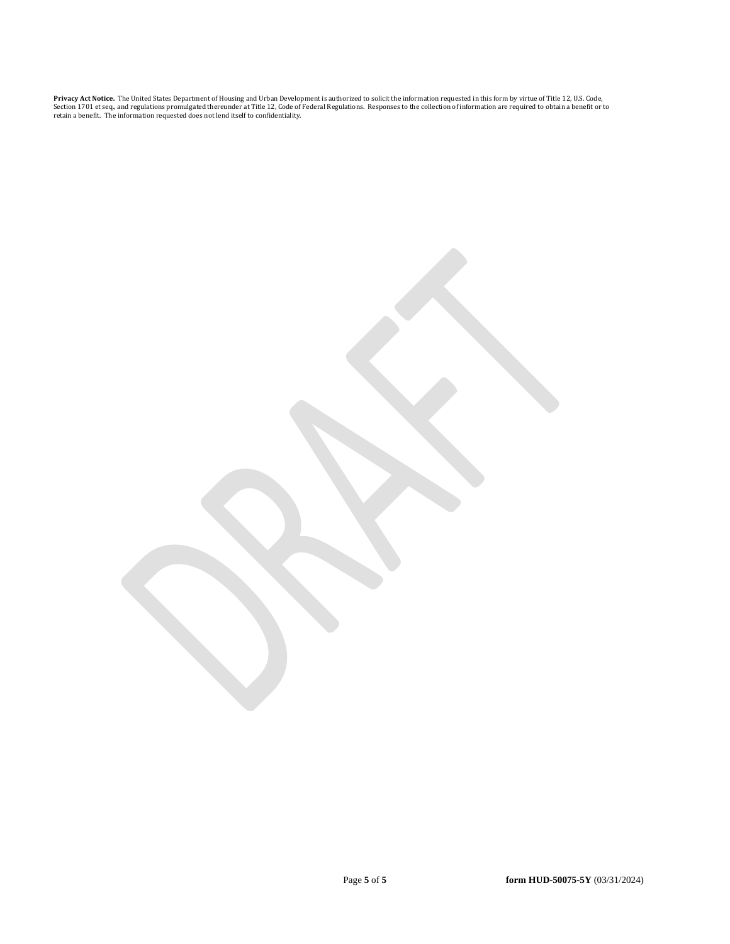**Privacy Act Notice.** The United States Department of Housing and Urban Development is authorized to solicit the information requested in this form by virtue of Title 12, U.S. Code,<br>Section 1701 et seq., and regulations pr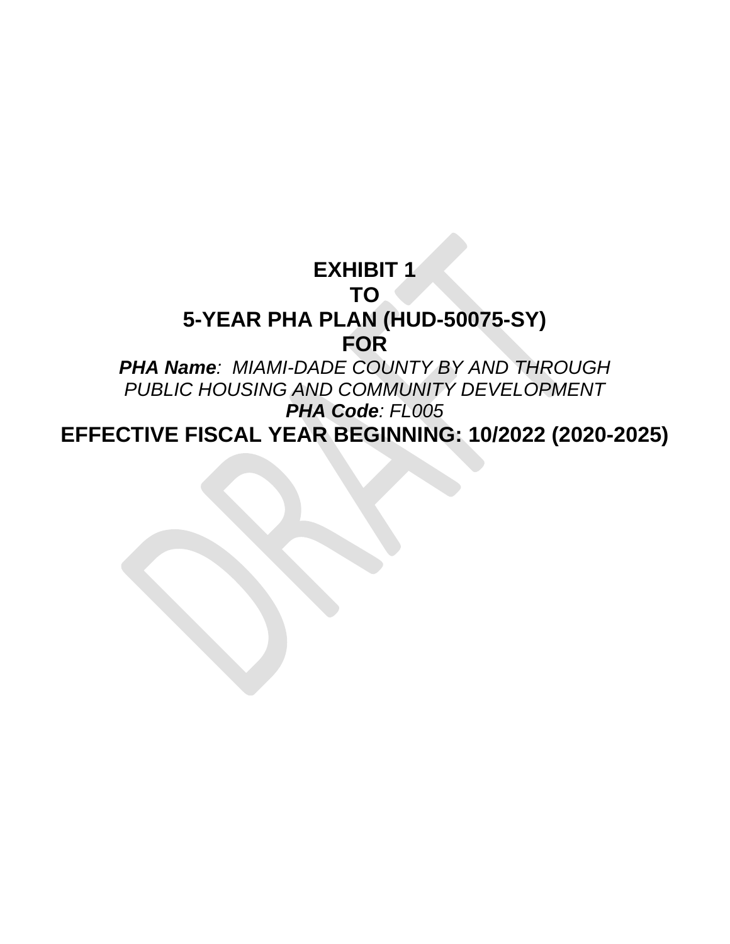# **EXHIBIT 1 TO 5-YEAR PHA PLAN (HUD-50075-SY) FOR**

*PHA Name: MIAMI-DADE COUNTY BY AND THROUGH PUBLIC HOUSING AND COMMUNITY DEVELOPMENT PHA Code: FL005*

**EFFECTIVE FISCAL YEAR BEGINNING: 10/2022 (2020-2025)**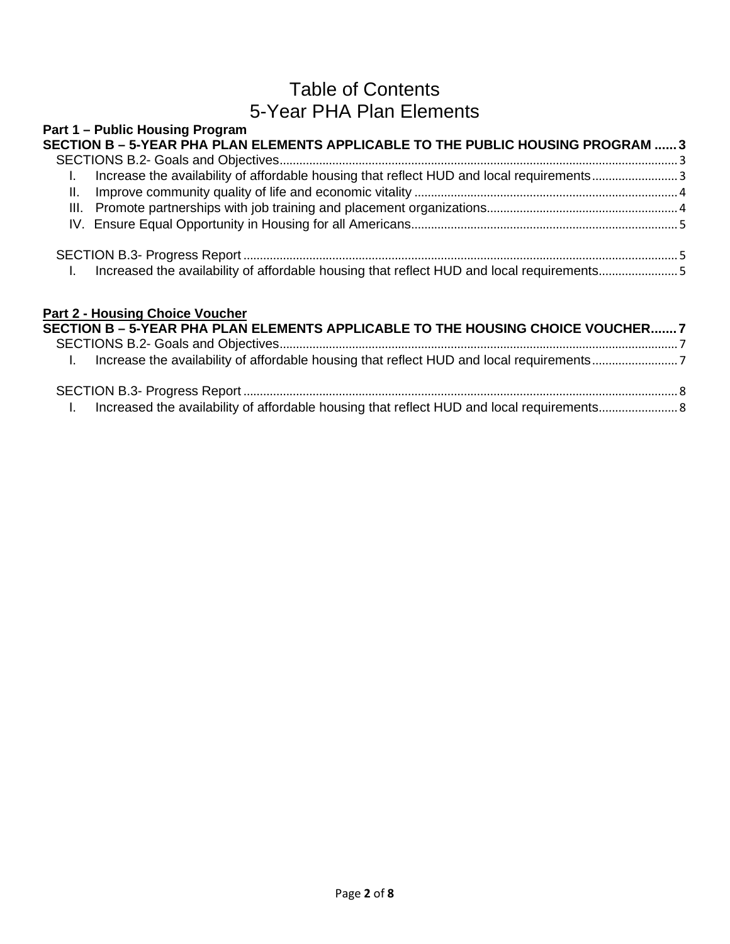## Table of Contents 5-Year PHA Plan Elements

| SECTION B - 5-YEAR PHA PLAN ELEMENTS APPLICABLE TO THE PUBLIC HOUSING PROGRAM  3         |  |
|------------------------------------------------------------------------------------------|--|
| Increase the availability of affordable housing that reflect HUD and local requirements3 |  |
|                                                                                          |  |
|                                                                                          |  |
|                                                                                          |  |

| <b>Part 2 - Housing Choice Voucher</b><br>SECTION B - 5-YEAR PHA PLAN ELEMENTS APPLICABLE TO THE HOUSING CHOICE VOUCHER 7 |  |
|---------------------------------------------------------------------------------------------------------------------------|--|
|                                                                                                                           |  |
|                                                                                                                           |  |
|                                                                                                                           |  |
|                                                                                                                           |  |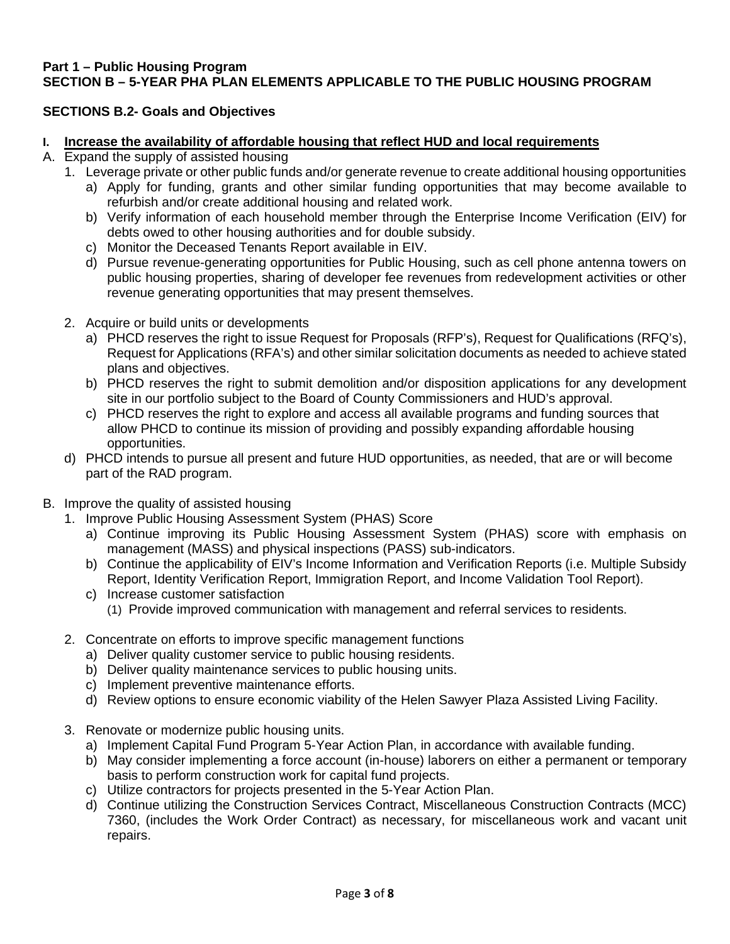#### <span id="page-7-0"></span>**Part 1 – Public Housing Program SECTION B – 5-YEAR PHA PLAN ELEMENTS APPLICABLE TO THE PUBLIC HOUSING PROGRAM**

## <span id="page-7-1"></span>**SECTIONS B.2- Goals and Objectives**

#### <span id="page-7-2"></span>**I. Increase the availability of affordable housing that reflect HUD and local requirements**

- A. Expand the supply of assisted housing
	- 1. Leverage private or other public funds and/or generate revenue to create additional housing opportunities
		- a) Apply for funding, grants and other similar funding opportunities that may become available to refurbish and/or create additional housing and related work.
		- b) Verify information of each household member through the Enterprise Income Verification (EIV) for debts owed to other housing authorities and for double subsidy.
		- c) Monitor the Deceased Tenants Report available in EIV.
		- d) Pursue revenue-generating opportunities for Public Housing, such as cell phone antenna towers on public housing properties, sharing of developer fee revenues from redevelopment activities or other revenue generating opportunities that may present themselves.
	- 2. Acquire or build units or developments
		- a) PHCD reserves the right to issue Request for Proposals (RFP's), Request for Qualifications (RFQ's), Request for Applications (RFA's) and other similar solicitation documents as needed to achieve stated plans and objectives.
		- b) PHCD reserves the right to submit demolition and/or disposition applications for any development site in our portfolio subject to the Board of County Commissioners and HUD's approval.
		- c) PHCD reserves the right to explore and access all available programs and funding sources that allow PHCD to continue its mission of providing and possibly expanding affordable housing opportunities.
	- d) PHCD intends to pursue all present and future HUD opportunities, as needed, that are or will become part of the RAD program.
- B. Improve the quality of assisted housing
	- 1. Improve Public Housing Assessment System (PHAS) Score
		- a) Continue improving its Public Housing Assessment System (PHAS) score with emphasis on management (MASS) and physical inspections (PASS) sub-indicators.
		- b) Continue the applicability of EIV's Income Information and Verification Reports (i.e. Multiple Subsidy Report, Identity Verification Report, Immigration Report, and Income Validation Tool Report).
		- c) Increase customer satisfaction
			- (1) Provide improved communication with management and referral services to residents.
	- 2. Concentrate on efforts to improve specific management functions
		- a) Deliver quality customer service to public housing residents.
		- b) Deliver quality maintenance services to public housing units.
		- c) Implement preventive maintenance efforts.
		- d) Review options to ensure economic viability of the Helen Sawyer Plaza Assisted Living Facility.
	- 3. Renovate or modernize public housing units.
		- a) Implement Capital Fund Program 5-Year Action Plan, in accordance with available funding.
		- b) May consider implementing a force account (in-house) laborers on either a permanent or temporary basis to perform construction work for capital fund projects.
		- c) Utilize contractors for projects presented in the 5-Year Action Plan.
		- d) Continue utilizing the Construction Services Contract, Miscellaneous Construction Contracts (MCC) 7360, (includes the Work Order Contract) as necessary, for miscellaneous work and vacant unit repairs.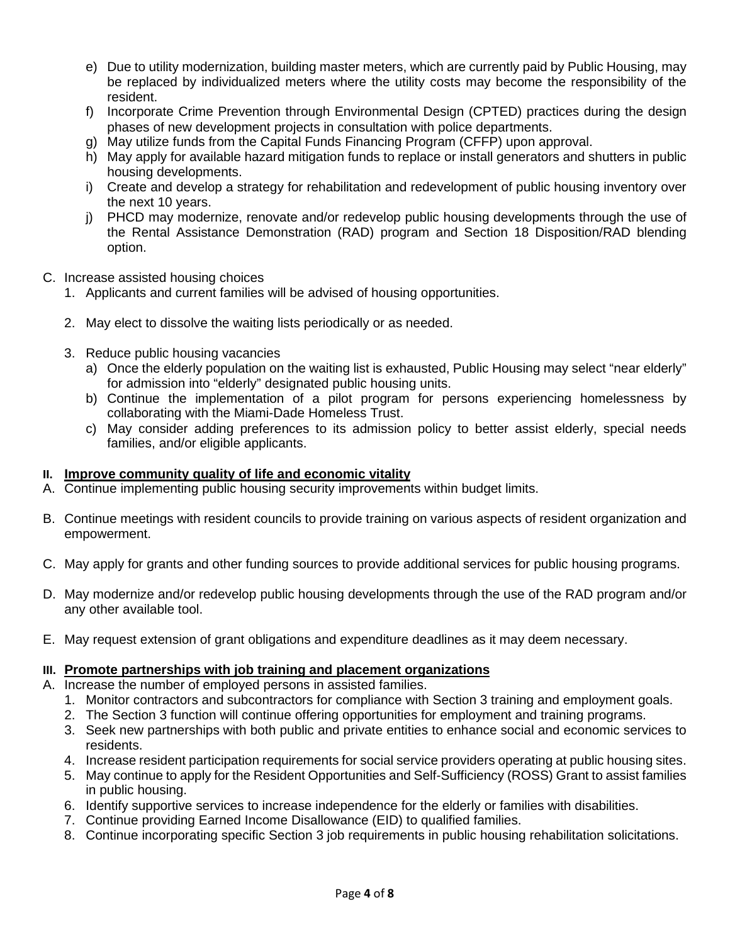- e) Due to utility modernization, building master meters, which are currently paid by Public Housing, may be replaced by individualized meters where the utility costs may become the responsibility of the resident.
- f) Incorporate Crime Prevention through Environmental Design (CPTED) practices during the design phases of new development projects in consultation with police departments.
- g) May utilize funds from the Capital Funds Financing Program (CFFP) upon approval.
- h) May apply for available hazard mitigation funds to replace or install generators and shutters in public housing developments.
- i) Create and develop a strategy for rehabilitation and redevelopment of public housing inventory over the next 10 years.
- j) PHCD may modernize, renovate and/or redevelop public housing developments through the use of the Rental Assistance Demonstration (RAD) program and Section 18 Disposition/RAD blending option.
- C. Increase assisted housing choices
	- 1. Applicants and current families will be advised of housing opportunities.
	- 2. May elect to dissolve the waiting lists periodically or as needed.
	- 3. Reduce public housing vacancies
		- a) Once the elderly population on the waiting list is exhausted, Public Housing may select "near elderly" for admission into "elderly" designated public housing units.
		- b) Continue the implementation of a pilot program for persons experiencing homelessness by collaborating with the Miami-Dade Homeless Trust.
		- c) May consider adding preferences to its admission policy to better assist elderly, special needs families, and/or eligible applicants.

### <span id="page-8-0"></span>**II. Improve community quality of life and economic vitality**

- A. Continue implementing public housing security improvements within budget limits.
- B. Continue meetings with resident councils to provide training on various aspects of resident organization and empowerment.
- C. May apply for grants and other funding sources to provide additional services for public housing programs.
- D. May modernize and/or redevelop public housing developments through the use of the RAD program and/or any other available tool.
- E. May request extension of grant obligations and expenditure deadlines as it may deem necessary.

### <span id="page-8-1"></span>**III. Promote partnerships with job training and placement organizations**

A. Increase the number of employed persons in assisted families.

- 1. Monitor contractors and subcontractors for compliance with Section 3 training and employment goals.
- 2. The Section 3 function will continue offering opportunities for employment and training programs.
- 3. Seek new partnerships with both public and private entities to enhance social and economic services to residents.
- 4. Increase resident participation requirements for social service providers operating at public housing sites.
- 5. May continue to apply for the Resident Opportunities and Self-Sufficiency (ROSS) Grant to assist families in public housing.
- 6. Identify supportive services to increase independence for the elderly or families with disabilities.
- 7. Continue providing Earned Income Disallowance (EID) to qualified families.
- 8. Continue incorporating specific Section 3 job requirements in public housing rehabilitation solicitations.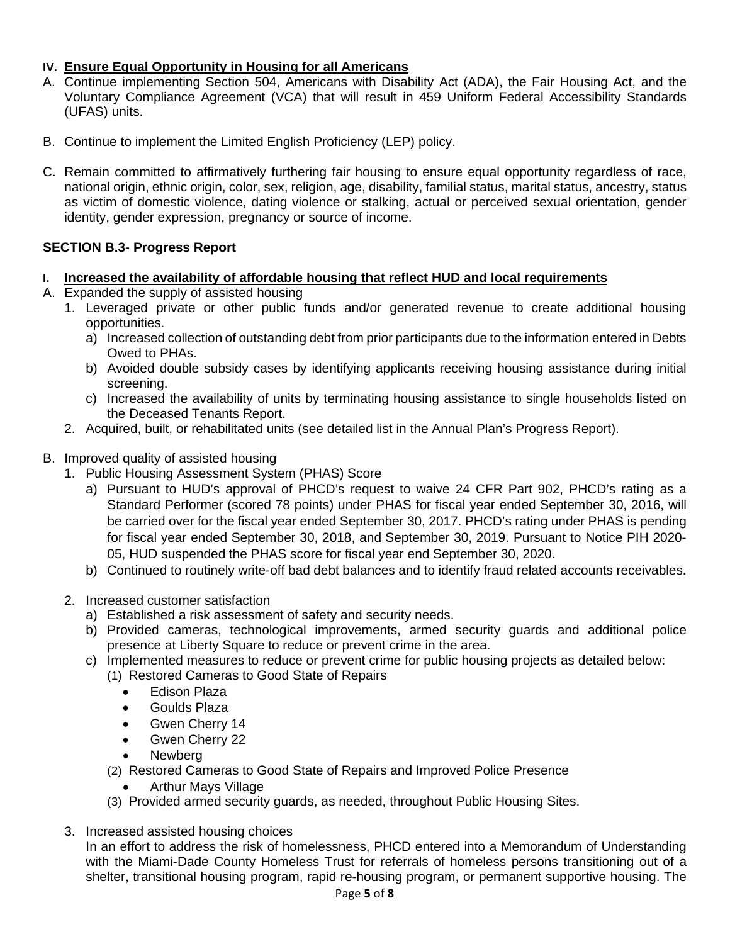## <span id="page-9-0"></span>**IV. Ensure Equal Opportunity in Housing for all Americans**

- A. Continue implementing Section 504, Americans with Disability Act (ADA), the Fair Housing Act, and the Voluntary Compliance Agreement (VCA) that will result in 459 Uniform Federal Accessibility Standards (UFAS) units.
- B. Continue to implement the Limited English Proficiency (LEP) policy.
- C. Remain committed to affirmatively furthering fair housing to ensure equal opportunity regardless of race, national origin, ethnic origin, color, sex, religion, age, disability, familial status, marital status, ancestry, status as victim of domestic violence, dating violence or stalking, actual or perceived sexual orientation, gender identity, gender expression, pregnancy or source of income.

## <span id="page-9-1"></span>**SECTION B.3- Progress Report**

## <span id="page-9-2"></span>**I. Increased the availability of affordable housing that reflect HUD and local requirements**

- A. Expanded the supply of assisted housing
	- 1. Leveraged private or other public funds and/or generated revenue to create additional housing opportunities.
		- a) Increased collection of outstanding debt from prior participants due to the information entered in Debts Owed to PHAs.
		- b) Avoided double subsidy cases by identifying applicants receiving housing assistance during initial screening.
		- c) Increased the availability of units by terminating housing assistance to single households listed on the Deceased Tenants Report.
	- 2. Acquired, built, or rehabilitated units (see detailed list in the Annual Plan's Progress Report).

## B. Improved quality of assisted housing

- 1. Public Housing Assessment System (PHAS) Score
	- a) Pursuant to HUD's approval of PHCD's request to waive 24 CFR Part 902, PHCD's rating as a Standard Performer (scored 78 points) under PHAS for fiscal year ended September 30, 2016, will be carried over for the fiscal year ended September 30, 2017. PHCD's rating under PHAS is pending for fiscal year ended September 30, 2018, and September 30, 2019. Pursuant to Notice PIH 2020- 05, HUD suspended the PHAS score for fiscal year end September 30, 2020.
	- b) Continued to routinely write-off bad debt balances and to identify fraud related accounts receivables.
- 2. Increased customer satisfaction
	- a) Established a risk assessment of safety and security needs.
	- b) Provided cameras, technological improvements, armed security guards and additional police presence at Liberty Square to reduce or prevent crime in the area.
	- c) Implemented measures to reduce or prevent crime for public housing projects as detailed below:
		- (1) Restored Cameras to Good State of Repairs
			- Edison Plaza
			- Goulds Plaza
			- Gwen Cherry 14
			- Gwen Cherry 22
			- Newberg
		- (2) Restored Cameras to Good State of Repairs and Improved Police Presence
			- Arthur Mays Village
		- (3) Provided armed security guards, as needed, throughout Public Housing Sites.
- 3. Increased assisted housing choices

In an effort to address the risk of homelessness, PHCD entered into a Memorandum of Understanding with the Miami-Dade County Homeless Trust for referrals of homeless persons transitioning out of a shelter, transitional housing program, rapid re-housing program, or permanent supportive housing. The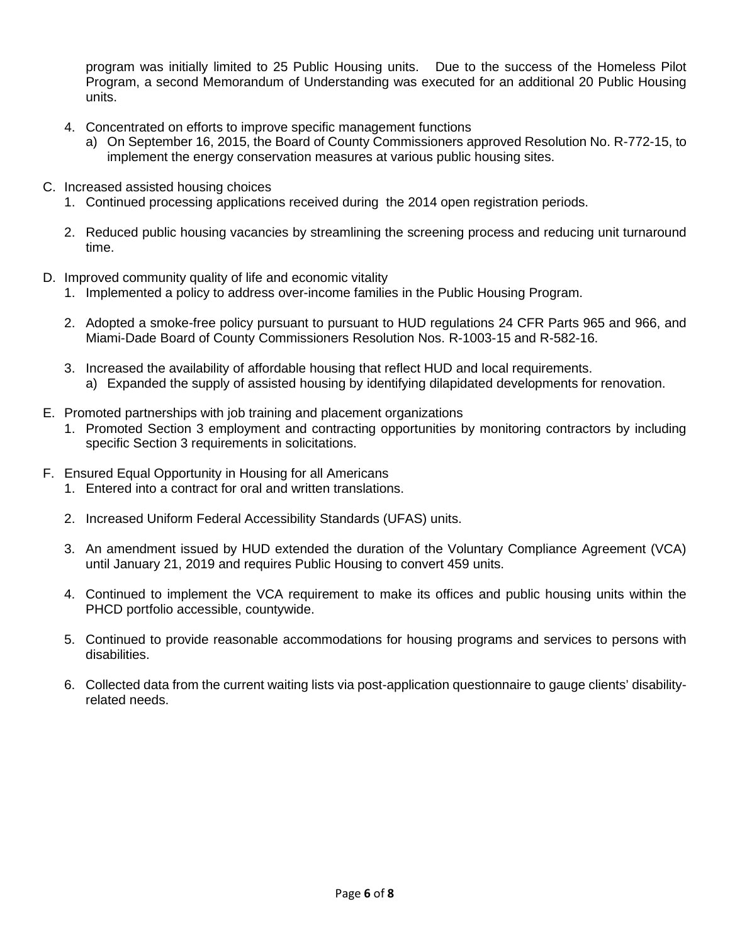program was initially limited to 25 Public Housing units. Due to the success of the Homeless Pilot Program, a second Memorandum of Understanding was executed for an additional 20 Public Housing units.

- 4. Concentrated on efforts to improve specific management functions
	- a) On September 16, 2015, the Board of County Commissioners approved Resolution No. R-772-15, to implement the energy conservation measures at various public housing sites.
- C. Increased assisted housing choices
	- 1. Continued processing applications received during the 2014 open registration periods.
	- 2. Reduced public housing vacancies by streamlining the screening process and reducing unit turnaround time.
- D. Improved community quality of life and economic vitality
	- 1. Implemented a policy to address over-income families in the Public Housing Program.
	- 2. Adopted a smoke-free policy pursuant to pursuant to HUD regulations 24 CFR Parts 965 and 966, and Miami-Dade Board of County Commissioners Resolution Nos. R-1003-15 and R-582-16.
	- 3. Increased the availability of affordable housing that reflect HUD and local requirements. a) Expanded the supply of assisted housing by identifying dilapidated developments for renovation.
- E. Promoted partnerships with job training and placement organizations
	- 1. Promoted Section 3 employment and contracting opportunities by monitoring contractors by including specific Section 3 requirements in solicitations.
- F. Ensured Equal Opportunity in Housing for all Americans
	- 1. Entered into a contract for oral and written translations.
	- 2. Increased Uniform Federal Accessibility Standards (UFAS) units.
	- 3. An amendment issued by HUD extended the duration of the Voluntary Compliance Agreement (VCA) until January 21, 2019 and requires Public Housing to convert 459 units.
	- 4. Continued to implement the VCA requirement to make its offices and public housing units within the PHCD portfolio accessible, countywide.
	- 5. Continued to provide reasonable accommodations for housing programs and services to persons with disabilities.
	- 6. Collected data from the current waiting lists via post-application questionnaire to gauge clients' disabilityrelated needs.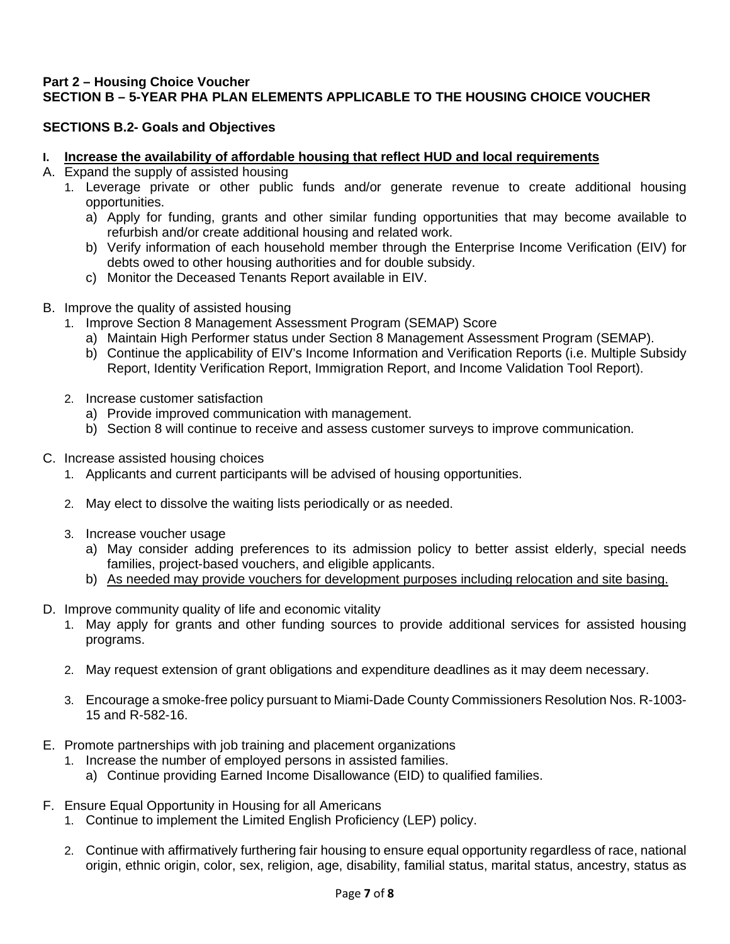### <span id="page-11-0"></span>**Part 2 – Housing Choice Voucher SECTION B – 5-YEAR PHA PLAN ELEMENTS APPLICABLE TO THE HOUSING CHOICE VOUCHER**

#### <span id="page-11-1"></span>**SECTIONS B.2- Goals and Objectives**

#### <span id="page-11-2"></span>**I. Increase the availability of affordable housing that reflect HUD and local requirements**

- A. Expand the supply of assisted housing
	- 1. Leverage private or other public funds and/or generate revenue to create additional housing opportunities.
		- a) Apply for funding, grants and other similar funding opportunities that may become available to refurbish and/or create additional housing and related work.
		- b) Verify information of each household member through the Enterprise Income Verification (EIV) for debts owed to other housing authorities and for double subsidy.
		- c) Monitor the Deceased Tenants Report available in EIV.
- B. Improve the quality of assisted housing
	- 1. Improve Section 8 Management Assessment Program (SEMAP) Score
		- a) Maintain High Performer status under Section 8 Management Assessment Program (SEMAP).
		- b) Continue the applicability of EIV's Income Information and Verification Reports (i.e. Multiple Subsidy Report, Identity Verification Report, Immigration Report, and Income Validation Tool Report).
	- 2. Increase customer satisfaction
		- a) Provide improved communication with management.
		- b) Section 8 will continue to receive and assess customer surveys to improve communication.
- C. Increase assisted housing choices
	- 1. Applicants and current participants will be advised of housing opportunities.
	- 2. May elect to dissolve the waiting lists periodically or as needed.
	- 3. Increase voucher usage
		- a) May consider adding preferences to its admission policy to better assist elderly, special needs families, project-based vouchers, and eligible applicants.
		- b) As needed may provide vouchers for development purposes including relocation and site basing.
- D. Improve community quality of life and economic vitality
	- 1. May apply for grants and other funding sources to provide additional services for assisted housing programs.
	- 2. May request extension of grant obligations and expenditure deadlines as it may deem necessary.
	- 3. Encourage a smoke-free policy pursuant to Miami-Dade County Commissioners Resolution Nos. R-1003- 15 and R-582-16.
- E. Promote partnerships with job training and placement organizations
	- 1. Increase the number of employed persons in assisted families.
		- a) Continue providing Earned Income Disallowance (EID) to qualified families.
- F. Ensure Equal Opportunity in Housing for all Americans
	- 1. Continue to implement the Limited English Proficiency (LEP) policy.
	- 2. Continue with affirmatively furthering fair housing to ensure equal opportunity regardless of race, national origin, ethnic origin, color, sex, religion, age, disability, familial status, marital status, ancestry, status as